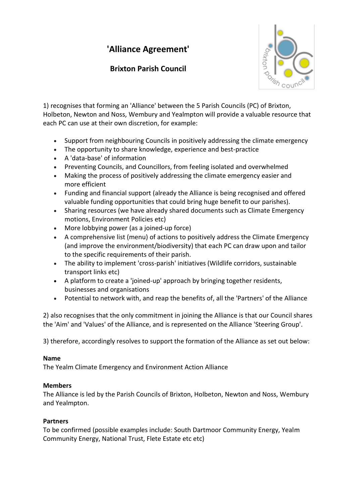# **'Alliance Agreement'**

# **Brixton Parish Council**



1) recognises that forming an 'Alliance' between the 5 Parish Councils (PC) of Brixton, Holbeton, Newton and Noss, Wembury and Yealmpton will provide a valuable resource that each PC can use at their own discretion, for example:

- Support from neighbouring Councils in positively addressing the climate emergency
- The opportunity to share knowledge, experience and best-practice
- A 'data-base' of information
- Preventing Councils, and Councillors, from feeling isolated and overwhelmed
- Making the process of positively addressing the climate emergency easier and more efficient
- Funding and financial support (already the Alliance is being recognised and offered valuable funding opportunities that could bring huge benefit to our parishes).
- Sharing resources (we have already shared documents such as Climate Emergency motions, Environment Policies etc)
- More lobbying power (as a joined-up force)
- A comprehensive list (menu) of actions to positively address the Climate Emergency (and improve the environment/biodiversity) that each PC can draw upon and tailor to the specific requirements of their parish.
- The ability to implement 'cross-parish' initiatives (Wildlife corridors, sustainable transport links etc)
- A platform to create a 'joined-up' approach by bringing together residents, businesses and organisations
- Potential to network with, and reap the benefits of, all the 'Partners' of the Alliance

2) also recognises that the only commitment in joining the Alliance is that our Council shares the 'Aim' and 'Values' of the Alliance, and is represented on the Alliance 'Steering Group'.

3) therefore, accordingly resolves to support the formation of the Alliance as set out below:

## **Name**

The Yealm Climate Emergency and Environment Action Alliance

## **Members**

The Alliance is led by the Parish Councils of Brixton, Holbeton, Newton and Noss, Wembury and Yealmpton.

## **Partners**

To be confirmed (possible examples include: South Dartmoor Community Energy, Yealm Community Energy, National Trust, Flete Estate etc etc)